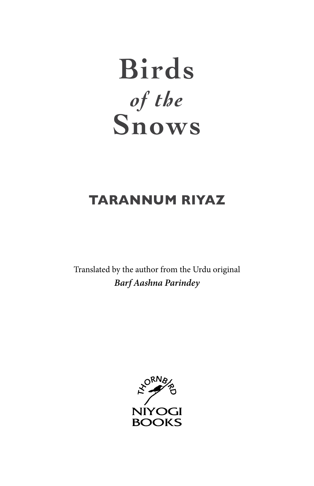# **Birds** *of the* **Snows**

# **TARANNUM RIYAZ**

Translated by the author from the Urdu original *Barf Aashna Parindey*

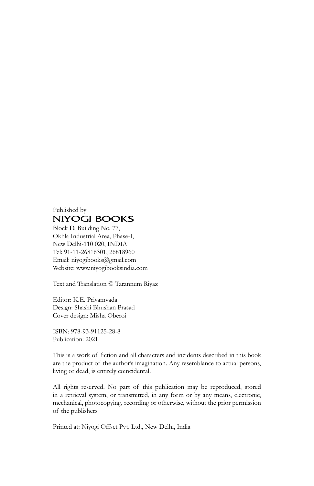#### Published by **NIYOGI BOOKS**

Block D, Building No. 77, Okhla Industrial Area, Phase-I, New Delhi-110 020, INDIA Tel: 91-11-26816301, 26818960 Email: niyogibooks@gmail.com Website: www.niyogibooksindia.com

Text and Translation © Tarannum Riyaz

Editor: K.E. Priyamvada Design: Shashi Bhushan Prasad Cover design: Misha Oberoi

ISBN: 978-93-91125-28-8 Publication: 2021

This is a work of fiction and all characters and incidents described in this book are the product of the author's imagination. Any resemblance to actual persons, living or dead, is entirely coincidental.

All rights reserved. No part of this publication may be reproduced, stored in a retrieval system, or transmitted, in any form or by any means, electronic, mechanical, photocopying, recording or otherwise, without the prior permission of the publishers.

Printed at: Niyogi Offset Pvt. Ltd., New Delhi, India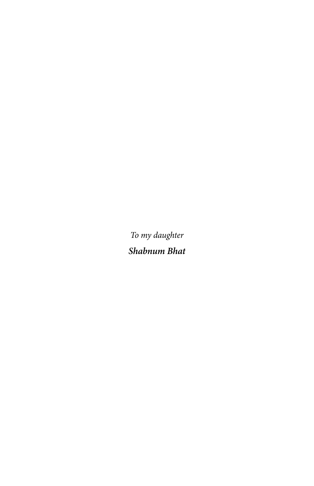*To my daughter Shabnum Bhat*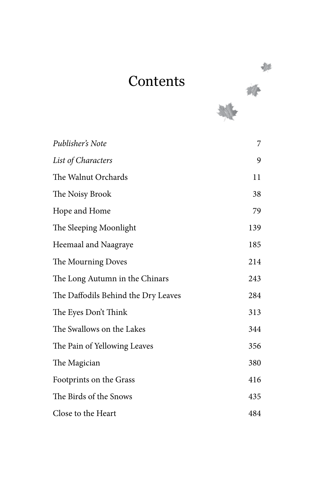# **Contents**



| Publisher's Note                    | 7   |
|-------------------------------------|-----|
| List of Characters                  | 9   |
| The Walnut Orchards                 | 11  |
| The Noisy Brook                     | 38  |
| Hope and Home                       | 79  |
| The Sleeping Moonlight              | 139 |
| Heemaal and Naagraye                | 185 |
| The Mourning Doves                  | 214 |
| The Long Autumn in the Chinars      | 243 |
| The Daffodils Behind the Dry Leaves | 284 |
| The Eyes Don't Think                | 313 |
| The Swallows on the Lakes           | 344 |
| The Pain of Yellowing Leaves        | 356 |
| The Magician                        | 380 |
| Footprints on the Grass             | 416 |
| The Birds of the Snows              | 435 |
| Close to the Heart                  | 484 |

奖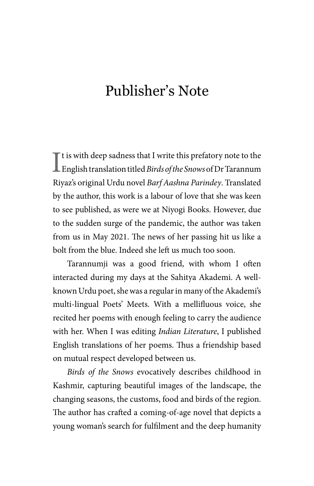# Publisher's Note

It is with deep sadness that I write this prefatory note to the English translation titled *Birds of the Snows* of Dr Tarannum  $\blacksquare$  t is with deep sadness that I write this prefatory note to the Riyaz's original Urdu novel *Barf Aashna Parindey*. Translated by the author, this work is a labour of love that she was keen to see published, as were we at Niyogi Books. However, due to the sudden surge of the pandemic, the author was taken from us in May 2021. The news of her passing hit us like a bolt from the blue. Indeed she left us much too soon.

Tarannumji was a good friend, with whom I often interacted during my days at the Sahitya Akademi. A wellknown Urdu poet, she was a regular in many of the Akademi's multi-lingual Poets' Meets. With a mellifluous voice, she recited her poems with enough feeling to carry the audience with her. When I was editing *Indian Literature*, I published English translations of her poems. Thus a friendship based on mutual respect developed between us.

*Birds of the Snows* evocatively describes childhood in Kashmir, capturing beautiful images of the landscape, the changing seasons, the customs, food and birds of the region. The author has crafted a coming-of-age novel that depicts a young woman's search for fulfilment and the deep humanity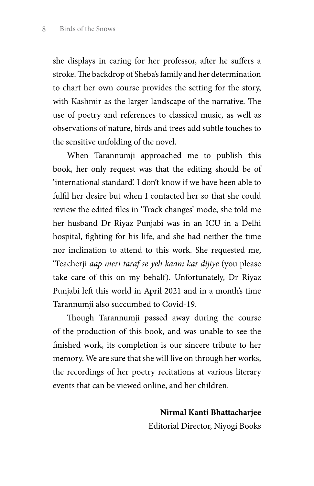#### 8 Birds of the Snows

she displays in caring for her professor, after he suffers a stroke. The backdrop of Sheba's family and her determination to chart her own course provides the setting for the story, with Kashmir as the larger landscape of the narrative. The use of poetry and references to classical music, as well as observations of nature, birds and trees add subtle touches to the sensitive unfolding of the novel.

When Tarannumji approached me to publish this book, her only request was that the editing should be of 'international standard'. I don't know if we have been able to fulfil her desire but when I contacted her so that she could review the edited files in 'Track changes' mode, she told me her husband Dr Riyaz Punjabi was in an ICU in a Delhi hospital, fighting for his life, and she had neither the time nor inclination to attend to this work. She requested me, 'Teacherji *aap meri taraf se yeh kaam kar dijiye* (you please take care of this on my behalf). Unfortunately, Dr Riyaz Punjabi left this world in April 2021 and in a month's time Tarannumji also succumbed to Covid-19.

Though Tarannumji passed away during the course of the production of this book, and was unable to see the finished work, its completion is our sincere tribute to her memory. We are sure that she will live on through her works, the recordings of her poetry recitations at various literary events that can be viewed online, and her children.

> **Nirmal Kanti Bhattacharjee** Editorial Director, Niyogi Books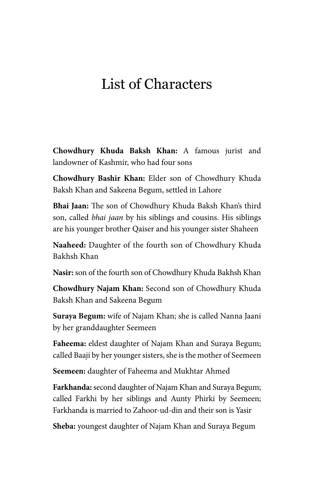### List of Characters

**Chowdhury Khuda Baksh Khan:** A famous jurist and landowner of Kashmir, who had four sons

**Chowdhury Bashir Khan:** Elder son of Chowdhury Khuda Baksh Khan and Sakeena Begum, settled in Lahore

**Bhai Jaan:** The son of Chowdhury Khuda Baksh Khan's third son, called *bhai jaan* by his siblings and cousins. His siblings are his younger brother Qaiser and his younger sister Shaheen

**Naaheed:** Daughter of the fourth son of Chowdhury Khuda Bakhsh Khan

**Nasir:** son of the fourth son of Chowdhury Khuda Bakhsh Khan

**Chowdhury Najam Khan:** Second son of Chowdhury Khuda Baksh Khan and Sakeena Begum

**Suraya Begum:** wife of Najam Khan; she is called Nanna Jaani by her granddaughter Seemeen

**Faheema:** eldest daughter of Najam Khan and Suraya Begum; called Baaji by her younger sisters, she is the mother of Seemeen

**Seemeen:** daughter of Faheema and Mukhtar Ahmed

**Farkhanda:** second daughter of Najam Khan and Suraya Begum; called Farkhi by her siblings and Aunty Phirki by Seemeen; Farkhanda is married to Zahoor-ud-din and their son is Yasir

**Sheba:** youngest daughter of Najam Khan and Suraya Begum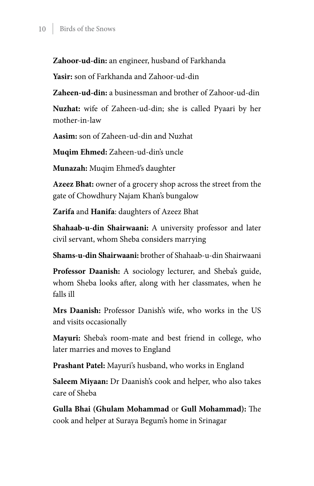**Zahoor-ud-din:** an engineer, husband of Farkhanda

**Yasir:** son of Farkhanda and Zahoor-ud-din

**Zaheen-ud-din:** a businessman and brother of Zahoor-ud-din

**Nuzhat:** wife of Zaheen-ud-din; she is called Pyaari by her mother-in-law

**Aasim:** son of Zaheen-ud-din and Nuzhat

**Muqim Ehmed:** Zaheen-ud-din's uncle

**Munazah:** Muqim Ehmed's daughter

**Azeez Bhat:** owner of a grocery shop across the street from the gate of Chowdhury Najam Khan's bungalow

**Zarifa** and **Hanifa**: daughters of Azeez Bhat

**Shahaab-u-din Shairwaani:** A university professor and later civil servant, whom Sheba considers marrying

**Shams-u-din Shairwaani:** brother of Shahaab-u-din Shairwaani

**Professor Daanish:** A sociology lecturer, and Sheba's guide, whom Sheba looks after, along with her classmates, when he falls ill

**Mrs Daanish:** Professor Danish's wife, who works in the US and visits occasionally

**Mayuri:** Sheba's room-mate and best friend in college, who later marries and moves to England

**Prashant Patel:** Mayuri's husband, who works in England

**Saleem Miyaan:** Dr Daanish's cook and helper, who also takes care of Sheba

**Gulla Bhai (Ghulam Mohammad** or **Gull Mohammad):** The cook and helper at Suraya Begum's home in Srinagar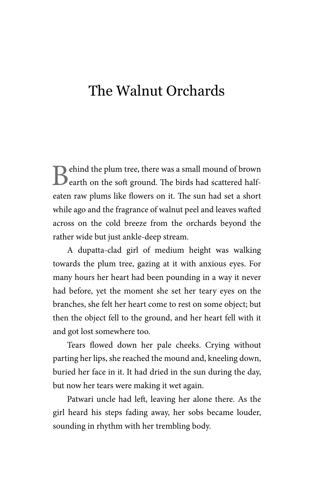### The Walnut Orchards

Behind the plum tree, there was a small mound of brown earth on the soft ground. The birds had scattered halfeaten raw plums like flowers on it. The sun had set a short while ago and the fragrance of walnut peel and leaves wafted across on the cold breeze from the orchards beyond the rather wide but just ankle-deep stream.

A dupatta-clad girl of medium height was walking towards the plum tree, gazing at it with anxious eyes. For many hours her heart had been pounding in a way it never had before, yet the moment she set her teary eyes on the branches, she felt her heart come to rest on some object; but then the object fell to the ground, and her heart fell with it and got lost somewhere too.

Tears flowed down her pale cheeks. Crying without parting her lips, she reached the mound and, kneeling down, buried her face in it. It had dried in the sun during the day, but now her tears were making it wet again.

Patwari uncle had left, leaving her alone there. As the girl heard his steps fading away, her sobs became louder, sounding in rhythm with her trembling body.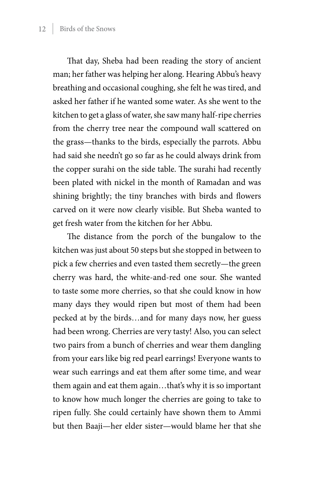That day, Sheba had been reading the story of ancient man; her father was helping her along. Hearing Abbu's heavy breathing and occasional coughing, she felt he was tired, and asked her father if he wanted some water. As she went to the kitchen to get a glass of water, she saw many half-ripe cherries from the cherry tree near the compound wall scattered on the grass—thanks to the birds, especially the parrots. Abbu had said she needn't go so far as he could always drink from the copper surahi on the side table. The surahi had recently been plated with nickel in the month of Ramadan and was shining brightly; the tiny branches with birds and flowers carved on it were now clearly visible. But Sheba wanted to get fresh water from the kitchen for her Abbu.

The distance from the porch of the bungalow to the kitchen was just about 50 steps but she stopped in between to pick a few cherries and even tasted them secretly—the green cherry was hard, the white-and-red one sour. She wanted to taste some more cherries, so that she could know in how many days they would ripen but most of them had been pecked at by the birds…and for many days now, her guess had been wrong. Cherries are very tasty! Also, you can select two pairs from a bunch of cherries and wear them dangling from your ears like big red pearl earrings! Everyone wants to wear such earrings and eat them after some time, and wear them again and eat them again…that's why it is so important to know how much longer the cherries are going to take to ripen fully. She could certainly have shown them to Ammi but then Baaji—her elder sister—would blame her that she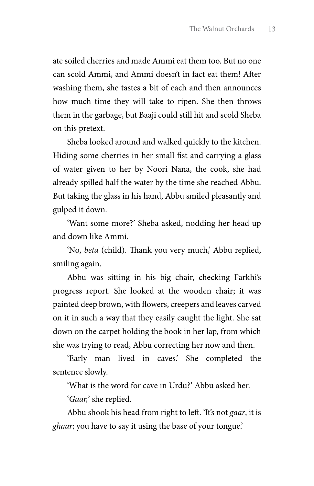ate soiled cherries and made Ammi eat them too. But no one can scold Ammi, and Ammi doesn't in fact eat them! After washing them, she tastes a bit of each and then announces how much time they will take to ripen. She then throws them in the garbage, but Baaji could still hit and scold Sheba on this pretext.

Sheba looked around and walked quickly to the kitchen. Hiding some cherries in her small fist and carrying a glass of water given to her by Noori Nana, the cook, she had already spilled half the water by the time she reached Abbu. But taking the glass in his hand, Abbu smiled pleasantly and gulped it down.

'Want some more?' Sheba asked, nodding her head up and down like Ammi.

'No, *beta* (child). Thank you very much,' Abbu replied, smiling again.

Abbu was sitting in his big chair, checking Farkhi's progress report. She looked at the wooden chair; it was painted deep brown, with flowers, creepers and leaves carved on it in such a way that they easily caught the light. She sat down on the carpet holding the book in her lap, from which she was trying to read, Abbu correcting her now and then.

'Early man lived in caves.' She completed the sentence slowly.

'What is the word for cave in Urdu?' Abbu asked her.

'*Gaar,*' she replied.

Abbu shook his head from right to left. 'It's not *gaar*, it is *ghaar*; you have to say it using the base of your tongue.'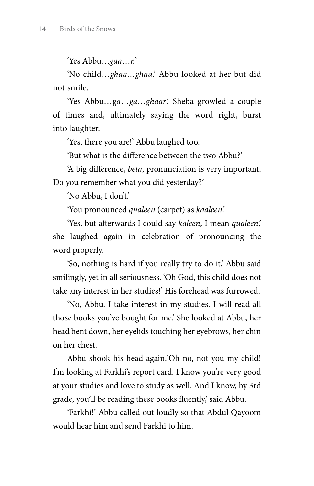'Yes Abbu…*gaa*…*r.*'

'No child…*ghaa…ghaa*.' Abbu looked at her but did not smile.

'Yes Abbu…g*a*…*ga*…*ghaar*.' Sheba growled a couple of times and, ultimately saying the word right, burst into laughter.

'Yes, there you are!' Abbu laughed too.

'But what is the difference between the two Abbu?'

'A big difference, *beta*, pronunciation is very important.

Do you remember what you did yesterday?'

'No Abbu, I don't.'

'You pronounced *qualeen* (carpet) as *kaaleen*.'

'Yes, but afterwards I could say *kaleen*, I mean *qualeen*,' she laughed again in celebration of pronouncing the word properly.

'So, nothing is hard if you really try to do it,' Abbu said smilingly, yet in all seriousness. 'Oh God, this child does not take any interest in her studies!' His forehead was furrowed.

'No, Abbu. I take interest in my studies. I will read all those books you've bought for me.' She looked at Abbu, her head bent down, her eyelids touching her eyebrows, her chin on her chest.

Abbu shook his head again.'Oh no, not you my child! I'm looking at Farkhi's report card. I know you're very good at your studies and love to study as well. And I know, by 3rd grade, you'll be reading these books fluently,' said Abbu.

'Farkhi!' Abbu called out loudly so that Abdul Qayoom would hear him and send Farkhi to him.